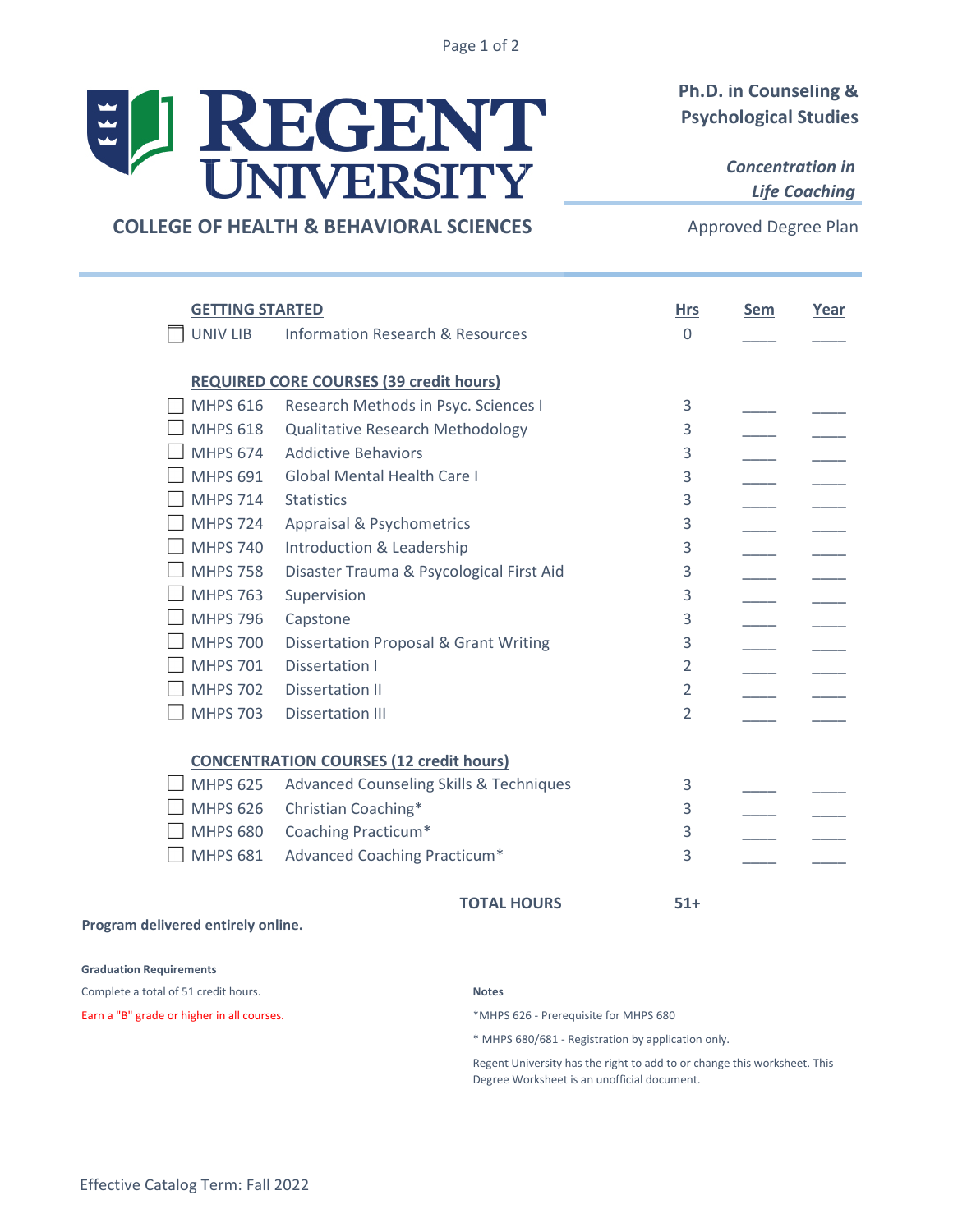Page 1 of 2

# REGENT  $\mathbb{E}[\mathbf{r}]$

# **Ph.D. in Counseling & Psychological Studies**

*Concentration in Life Coaching*

# **COLLEGE OF HEALTH & BEHAVIORAL SCIENCES**

Approved Degree Plan

| <b>GETTING STARTED</b>                         |                                                    | <b>Hrs</b>     | <b>Sem</b> | Year |  |  |  |
|------------------------------------------------|----------------------------------------------------|----------------|------------|------|--|--|--|
| UNIV LIB                                       | <b>Information Research &amp; Resources</b>        | $\Omega$       |            |      |  |  |  |
|                                                | <b>REQUIRED CORE COURSES (39 credit hours)</b>     |                |            |      |  |  |  |
| <b>MHPS 616</b>                                | Research Methods in Psyc. Sciences I               | 3              |            |      |  |  |  |
| <b>MHPS 618</b>                                | <b>Qualitative Research Methodology</b>            | 3              |            |      |  |  |  |
| <b>MHPS 674</b>                                | <b>Addictive Behaviors</b>                         | 3              |            |      |  |  |  |
| <b>MHPS 691</b>                                | <b>Global Mental Health Care I</b>                 | 3              |            |      |  |  |  |
| <b>MHPS 714</b>                                | <b>Statistics</b>                                  | 3              |            |      |  |  |  |
| <b>MHPS 724</b>                                | Appraisal & Psychometrics                          | 3              |            |      |  |  |  |
| <b>MHPS 740</b>                                | Introduction & Leadership                          | 3              |            |      |  |  |  |
| <b>MHPS 758</b>                                | Disaster Trauma & Psycological First Aid           | 3              |            |      |  |  |  |
| <b>MHPS 763</b>                                | Supervision                                        | 3              |            |      |  |  |  |
| <b>MHPS 796</b>                                | Capstone                                           | 3              |            |      |  |  |  |
| <b>MHPS 700</b>                                | <b>Dissertation Proposal &amp; Grant Writing</b>   | 3              |            |      |  |  |  |
| <b>MHPS 701</b>                                | Dissertation I                                     | $\overline{2}$ |            |      |  |  |  |
| <b>MHPS 702</b>                                | Dissertation II                                    | $\overline{2}$ |            |      |  |  |  |
| <b>MHPS 703</b>                                | <b>Dissertation III</b>                            | $\overline{2}$ |            |      |  |  |  |
|                                                |                                                    |                |            |      |  |  |  |
| <b>CONCENTRATION COURSES (12 credit hours)</b> |                                                    |                |            |      |  |  |  |
| <b>MHPS 625</b>                                | <b>Advanced Counseling Skills &amp; Techniques</b> | 3              |            |      |  |  |  |
| <b>MHPS 626</b>                                | Christian Coaching*                                | 3              |            |      |  |  |  |
| <b>MHPS 680</b>                                | Coaching Practicum*                                | 3              |            |      |  |  |  |
| <b>MHPS 681</b>                                | Advanced Coaching Practicum*                       | 3              |            |      |  |  |  |
|                                                |                                                    |                |            |      |  |  |  |

**TOTAL HOURS 51+**

#### **Program delivered entirely online.**

#### **Graduation Requirements**

Complete a total of 51 credit hours.

Earn a "B" grade or higher in all courses.  $*$ MHPS 626 - Prerequisite for MHPS 680

#### **Notes**

\* MHPS 680/681 - Registration by application only.

Regent University has the right to add to or change this worksheet. This Degree Worksheet is an unofficial document.